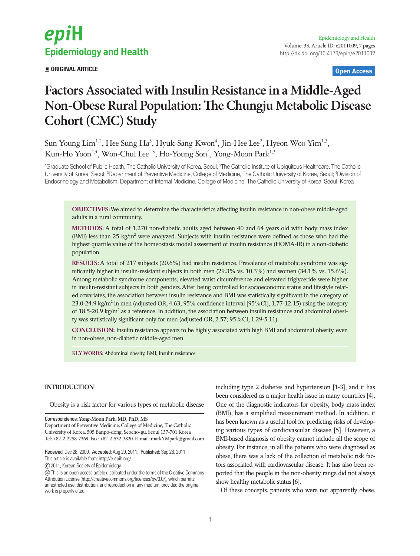# epiH **Epidemiology and Health**

 **ORIGINAL ARTICLE Open Access**

# **Factors Associated with Insulin Resistance in a Middle-Aged Non-Obese Rural Population: The Chungju Metabolic Disease Cohort (CMC) Study**

Sun Young Lim<sup>1,2</sup>, Hee Sung Ha<sup>3</sup>, Hyuk-Sang Kwon<sup>4</sup>, Jin-Hee Lee<sup>2</sup>, Hyeon Woo Yim<sup>1,3</sup>, Kun-Ho Yoon<sup>2,4</sup>, Won-Chul Lee<sup>1,3</sup>, Ho-Young Son<sup>4</sup>, Yong-Moon Park<sup>1,3</sup>

<sup>1</sup>Graduate School of Public Health, The Catholic University of Korea, Seoul; <sup>2</sup>The Catholic Institute of Ubiquitous Healthcare, The Catholic University of Korea, Seoul; <sup>3</sup>Department of Preventive Medicine, College of Medicine, The Catholic University of Korea, Seoul; <sup>4</sup>Division of Endocrinology and Metabolism, Department of Internal Medicine, College of Medicine, The Catholic University of Korea, Seoul, Korea

**OBJECTIVES:** We aimed to determine the characteristics affecting insulin resistance in non-obese middle-aged adults in a rural community.

**METHODS:** A total of 1,270 non-diabetic adults aged between 40 and 64 years old with body mass index (BMI) less than 25 kg/m<sup>2</sup> were analyzed. Subjects with insulin resistance were defined as those who had the highest quartile value of the homeostasis model assessment of insulin resistance (HOMA-IR) in a non-diabetic population.

**RESULTS:** A total of 217 subjects (20.6%) had insulin resistance. Prevalence of metabolic syndrome was significantly higher in insulin-resistant subjects in both men (29.3% vs. 10.3%) and women (34.1% vs. 15.6%). Among metabolic syndrome components, elevated waist circumference and elevated triglyceride were higher in insulin-resistant subjects in both genders. After being controlled for socioeconomic status and lifestyle related covariates, the association between insulin resistance and BMI was statistically significant in the category of 23.0-24.9 kg/m<sup>2</sup> in men (adjusted OR, 4.63; 95% confidence interval [95%CI], 1.77-12.15) using the category of 18.5-20.9 kg/m<sup>2</sup> as a reference. In addition, the association between insulin resistance and abdominal obesity was statistically significant only for men (adjusted OR, 2.57; 95%CI, 1.29-5.11).

**CONCLUSION:** Insulin resistance appears to be highly associated with high BMI and abdominal obesity, even in non-obese, non-diabetic middle-aged men.

**KEY WORDS:** Abdominal obesity, BMI, Insulin resistance

# **INTRODUCTION**

Obesity is a risk factor for various types of metabolic disease

Correspondence: **Yong-Moon Park, MD, PhD, MS** Department of Preventive Medicine, College of Medicine, The Catholic University of Korea, 505 Banpo-dong, Seocho-gu, Seoul 137-701 Korea Tel: +82-2-2258-7369 Fax: +82-2-532-3820 E-mail: markYMpark@gmail.com

Received: Dec 28, 2009, Accepted: Aug 29, 2011, Published: Sep 26, 2011 This article is available from: http://e-epih.org/.

2011, Korean Society of Epidemiology

 This is an open-access article distributed under the terms of the Creative Commons Attribution License (http://creativecommons.org/licenses/by/3.0/), which permits unrestricted use, distribution, and reproduction in any medium, provided the original work is properly cited.

including type 2 diabetes and hypertension [1-3], and it has been considered as a major health issue in many countries [4]. One of the diagnostic indicators for obesity, body mass index (BMI), has a simplified measurement method. In addition, it has been known as a useful tool for predicting risks of developing various types of cardiovascular disease [5]. However, a BMI-based diagnosis of obesity cannot include all the scope of obesity. For instance, in all the patients who were diagnosed as obese, there was a lack of the collection of metabolic risk factors associated with cardiovascular disease. It has also been reported that the people in the non-obesity range did not always show healthy metabolic status [6].

Of these concepts, patients who were not apparently obese,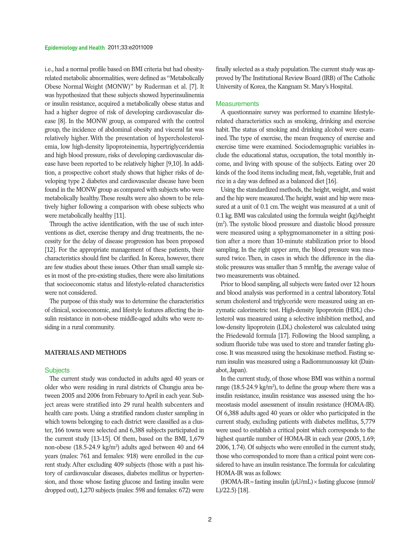i.e., had a normal profile based on BMI criteria but had obesityrelated metabolic abnormalities, were defined as "Metabolically Obese Normal Weight (MONW)" by Ruderman et al. [7]. It was hypothesized that these subjects showed hyperinsulinemia or insulin resistance, acquired a metabolically obese status and had a higher degree of risk of developing cardiovascular disease [8]. In the MONW group, as compared with the control group, the incidence of abdominal obesity and visceral fat was relatively higher. With the presentation of hypercholesterolemia, low high-density lipoproteinemia, hypertriglyceridemia and high blood pressure, risks of developing cardiovascular disease have been reported to be relatively higher [9,10]. In addition, a prospective cohort study shows that higher risks of developing type 2 diabetes and cardiovascular disease have been found in the MONW group as compared with subjects who were metabolically healthy. These results were also shown to be relatively higher following a comparison with obese subjects who were metabolically healthy [11].

Through the active identification, with the use of such interventions as diet, exercise therapy and drug treatments, the necessity for the delay of disease progression has been proposed [12]. For the appropriate management of these patients, their characteristics should first be clarified. In Korea, however, there are few studies about these issues. Other than small sample sizes in most of the pre-existing studies, there were also limitations that socioeconomic status and lifestyle-related characteristics were not considered.

The purpose of this study was to determine the characteristics of clinical, socioeconomic, and lifestyle features affecting the insulin resistance in non-obese middle-aged adults who were residing in a rural community.

### **MATERIALS AND METHODS**

#### **Subjects**

The current study was conducted in adults aged 40 years or older who were residing in rural districts of Chungju area between 2005 and 2006 from February to April in each year. Subject areas were stratified into 29 rural health subcenters and health care posts. Using a stratified random cluster sampling in which towns belonging to each district were classified as a cluster, 166 towns were selected and 6,388 subjects participated in the current study [13-15]. Of them, based on the BMI, 1,679 non-obese (18.5-24.9 kg/m<sup>2</sup>) adults aged between 40 and 64 years (males: 761 and females: 918) were enrolled in the current study. After excluding 409 subjects (those with a past history of cardiovascular diseases, diabetes mellitus or hypertension, and those whose fasting glucose and fasting insulin were dropped out), 1,270 subjects (males: 598 and females: 672) were

finally selected as a study population. The current study was approved by The Institutional Review Board (IRB) of The Catholic University of Korea, the Kangnam St. Mary's Hospital.

#### **Measurements**

A questionnaire survey was performed to examine lifestylerelated characteristics such as smoking, drinking and exercise habit. The status of smoking and drinking alcohol were examined. The type of exercise, the mean frequency of exercise and exercise time were examined. Sociodemographic variables include the educational status, occupation, the total monthly income, and living with spouse of the subjects. Eating over 20 kinds of the food items including meat, fish, vegetable, fruit and rice in a day was defined as a balanced diet [16].

Using the standardized methods, the height, weight, and waist and the hip were measured. The height, waist and hip were measured at a unit of 0.1 cm. The weight was measured at a unit of 0.1 kg. BMI was calculated using the formula weight (kg)/height (m<sup>2</sup>). The systolic blood pressure and diastolic blood pressure were measured using a sphygmomanometer in a sitting position after a more than 10-minute stabilization prior to blood sampling. In the right upper arm, the blood pressure was measured twice. Then, in cases in which the difference in the diastolic pressures was smaller than 5 mmHg, the average value of two measurements was obtained.

Prior to blood sampling, all subjects were fasted over 12 hours and blood analysis was performed in a central laboratory. Total serum cholesterol and triglyceride were measured using an enzymatic calorimetric test. High-density lipoprotein (HDL) cholesterol was measured using a selective inhibition method, and low-density lipoprotein (LDL) cholesterol was calculated using the Friedewald formula [17]. Following the blood sampling, a sodium fluoride tube was used to store and transfer fasting glucose. It was measured using the hexokinase method. Fasting serum insulin was measured using a Radiommunoassay kit (Dainabot, Japan).

In the current study, of those whose BMI was within a normal range  $(18.5-24.9 \text{ kg/m}^2)$ , to define the group where there was a insulin resistance, insulin resistance was assessed using the homeostasis model assessment of insulin resistance (HOMA-IR). Of 6,388 adults aged 40 years or older who participated in the current study, excluding patients with diabetes mellitus, 5,779 were used to establish a critical point which corresponds to the highest quartile number of HOMA-IR in each year (2005, 1.69; 2006, 1.74). Of subjects who were enrolled in the current study, those who corresponded to more than a critical point were considered to have an insulin resistance. The formula for calculating HOMA-IR was as follows:

 $(HOMA-IR=fasting insulin (µU/mL) \times fasting glucose (mmol/$ L)/22.5) [18].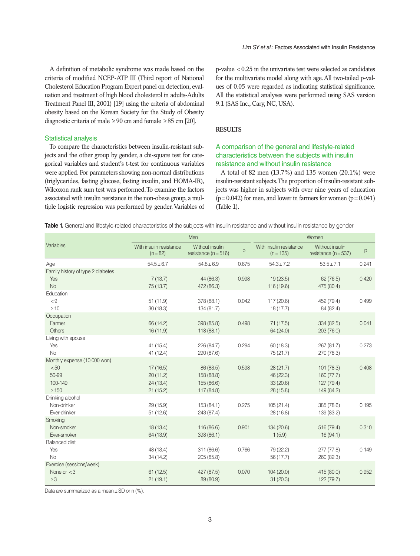A definition of metabolic syndrome was made based on the criteria of modified NCEP-ATP III (Third report of National Cholesterol Education Program Expert panel on detection, evaluation and treatment of high blood cholesterol in adults-Adults Treatment Panel III, 2001) [19] using the criteria of abdominal obesity based on the Korean Society for the Study of Obesity diagnostic criteria of male  $\geq 90$  cm and female  $\geq 85$  cm [20].

#### Statistical analysis

To compare the characteristics between insulin-resistant subjects and the other group by gender, a chi-square test for categorical variables and student's t-test for continuous variables were applied. For parameters showing non-normal distributions (triglycerides, fasting glucose, fasting insulin, and HOMA-IR), Wilcoxon rank sum test was performed. To examine the factors associated with insulin resistance in the non-obese group, a multiple logistic regression was performed by gender. Variables of p-value <0.25 in the univariate test were selected as candidates for the multivariate model along with age. All two-tailed p-values of 0.05 were regarded as indicating statistical significance. All the statistical analyses were performed using SAS version 9.1 (SAS Inc., Cary, NC, USA).

# **RESULTS**

# A comparison of the general and lifestyle-related characteristics between the subjects with insulin resistance and without insulin resistance

A total of 82 men (13.7%) and 135 women (20.1%) were insulin-resistant subjects. The proportion of insulin-resistant subjects was higher in subjects with over nine years of education  $(p=0.042)$  for men, and lower in farmers for women  $(p=0.041)$ (Table 1).

Table 1. General and lifestyle-related characteristics of the subjects with insulin resistance and without insulin resistance by gender

|                                      | Men                                 |                                             |       | Women                                  |                                             |       |  |
|--------------------------------------|-------------------------------------|---------------------------------------------|-------|----------------------------------------|---------------------------------------------|-------|--|
| Variables                            | With insulin resistance<br>$(n=82)$ | Without insulin<br>resistance ( $n = 516$ ) | р     | With insulin resistance<br>$(n = 135)$ | Without insulin<br>resistance ( $n = 537$ ) | p     |  |
| Age                                  | $54.5 \pm 6.7$                      | $54.8 \pm 6.9$                              | 0.675 | $54.3 \pm 7.2$                         | $53.5 \pm 7.1$                              | 0.241 |  |
| Family history of type 2 diabetes    |                                     |                                             |       |                                        |                                             |       |  |
| Yes                                  | 7(13.7)                             | 44 (86.3)                                   | 0.998 | 19(23.5)                               | 62(76.5)                                    | 0.420 |  |
| <b>No</b>                            | 75(13.7)                            | 472 (86.3)                                  |       | 116 (19.6)                             | 475 (80.4)                                  |       |  |
| Education                            |                                     |                                             |       |                                        |                                             |       |  |
| < 9                                  | 51(11.9)                            | 378 (88.1)                                  | 0.042 | 117 (20.6)                             | 452 (79.4)                                  | 0.499 |  |
| $\geq 10$                            | 30(18.3)                            | 134 (81.7)                                  |       | 18(17.7)                               | 84 (82.4)                                   |       |  |
| Occupation                           |                                     |                                             |       |                                        |                                             |       |  |
| Farmer                               | 66 (14.2)                           | 398 (85.8)                                  | 0.498 | 71(17.5)                               | 334 (82.5)                                  | 0.041 |  |
| <b>Others</b>                        | 16(11.9)                            | 118(88.1)                                   |       | 64 (24.0)                              | 203 (76.0)                                  |       |  |
| Living with spouse                   |                                     |                                             |       |                                        |                                             |       |  |
| Yes                                  | 41(15.4)                            | 226 (84.7)                                  | 0.294 | 60 (18.3)                              | 267 (81.7)                                  | 0.273 |  |
| <b>No</b>                            | 41(12.4)                            | 290 (87.6)                                  |       | 75 (21.7)                              | 270 (78.3)                                  |       |  |
| Monthly expense (10,000 won)<br>< 50 | 17(16.5)                            | 86 (83.5)                                   | 0.598 | 28(21.7)                               | 101(78.3)                                   | 0.408 |  |
| 50-99                                | 20(11.2)                            | 158 (88.8)                                  |       | 46 (22.3)                              | 160(77.7)                                   |       |  |
| 100-149                              | 24(13.4)                            | 155 (86.6)                                  |       | 33 (20.6)                              | 127 (79.4)                                  |       |  |
| $\geq 150$                           | 21(15.2)                            | 117 (84.8)                                  |       | 28 (15.8)                              | 149 (84.2)                                  |       |  |
| Drinking alcohol                     |                                     |                                             |       |                                        |                                             |       |  |
| Non-drinker                          | 29 (15.9)                           | 153 (84.1)                                  | 0.275 | 105(21.4)                              | 385 (78.6)                                  | 0.195 |  |
| Ever-drinker                         | 51(12.6)                            | 243 (87.4)                                  |       | 28 (16.8)                              | 139 (83.2)                                  |       |  |
| Smoking                              |                                     |                                             |       |                                        |                                             |       |  |
| Non-smoker                           | 18(13.4)                            | 116 (86.6)                                  | 0.901 | 134 (20.6)                             | 516 (79.4)                                  | 0.310 |  |
| Ever-smoker                          | 64 (13.9)                           | 398 (86.1)                                  |       | 1(5.9)                                 | 16(94.1)                                    |       |  |
| <b>Balanced diet</b>                 |                                     |                                             |       |                                        |                                             |       |  |
| Yes                                  | 48 (13.4)                           | 311 (86.6)                                  | 0.766 | 79 (22.2)                              | 277 (77.8)                                  | 0.149 |  |
| <b>No</b>                            | 34(14.2)                            | 205 (85.8)                                  |       | 56 (17.7)                              | 260 (82.3)                                  |       |  |
| Exercise (sessions/week)             |                                     |                                             |       |                                        |                                             |       |  |
| None or $<$ 3                        | 61(12.5)                            | 427 (87.5)                                  | 0.070 | 104(20.0)                              | 415 (80.0)                                  | 0.952 |  |
| $\geq 3$                             | 21(19.1)                            | 89 (80.9)                                   |       | 31(20.3)                               | 122 (79.7)                                  |       |  |

Data are summarized as a mean  $\pm$  SD or n (%).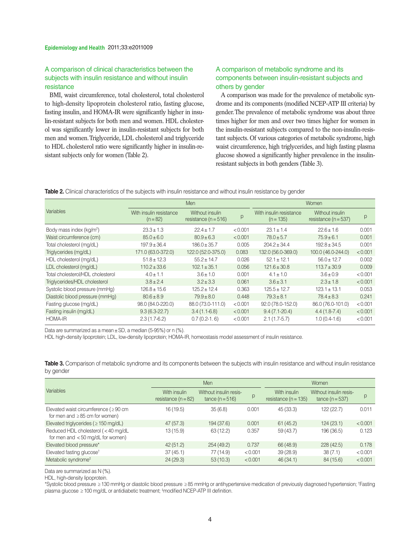# A comparison of clinical characteristics between the subjects with insulin resistance and without insulin resistance

BMI, waist circumference, total cholesterol, total cholesterol to high-density lipoprotein cholesterol ratio, fasting glucose, fasting insulin, and HOMA-IR were significantly higher in insulin-resistant subjects for both men and women. HDL cholesterol was significantly lower in insulin-resistant subjects for both men and women. Triglyceride, LDL cholesterol and triglyceride to HDL cholesterol ratio were significantly higher in insulin-resistant subjects only for women (Table 2).

# A comparison of metabolic syndrome and its components between insulin-resistant subjects and others by gender

A comparison was made for the prevalence of metabolic syndrome and its components (modified NCEP-ATP III criteria) by gender. The prevalence of metabolic syndrome was about three times higher for men and over two times higher for women in the insulin-resistant subjects compared to the non-insulin-resistant subjects. Of various categories of metabolic syndrome, high waist circumference, high triglycerides, and high fasting plasma glucose showed a significantly higher prevalence in the insulinresistant subjects in both genders (Table 3).

**Table 2.** Clinical characteristics of the subjects with insulin resistance and without insulin resistance by gender

|                                      | Men                                 |                                             |         | Women                                  |                                             |         |  |
|--------------------------------------|-------------------------------------|---------------------------------------------|---------|----------------------------------------|---------------------------------------------|---------|--|
| Variables                            | With insulin resistance<br>$(n=82)$ | Without insulin<br>resistance ( $n = 516$ ) | p       | With insulin resistance<br>$(n = 135)$ | Without insulin<br>resistance ( $n = 537$ ) | p       |  |
| Body mass index (kg/m <sup>2</sup> ) | $23.3 \pm 1.3$                      | $22.4 \pm 1.7$                              | < 0.001 | $23.1 \pm 1.4$                         | $22.6 \pm 1.6$                              | 0.001   |  |
| Waist circumference (cm)             | $85.0 \pm 6.0$                      | $80.9 \pm 6.3$                              | < 0.001 | $78.0 \pm 5.7$                         | $75.9 \pm 6.1$                              | 0.001   |  |
| Total cholesterol (mg/dL)            | $197.9 \pm 36.4$                    | $186.0 \pm 35.7$                            | 0.005   | $204.2 \pm 34.4$                       | $192.8 \pm 34.5$                            | 0.001   |  |
| Triglycerides (mg/dL)                | 171.0 (63.0-372.0)                  | 122.0 (52.0-375.0)                          | 0.083   | 132.0 (56.0-369.0)                     | 100.0 (46.0-244.0)                          | < 0.001 |  |
| HDL cholesterol (mg/dL)              | $51.8 \pm 12.3$                     | $55.2 \pm 14.7$                             | 0.026   | $52.1 \pm 12.1$                        | $56.0 \pm 12.7$                             | 0.002   |  |
| LDL cholesterol (mg/dL)              | $110.2 \pm 33.6$                    | $102.1 \pm 35.1$                            | 0.056   | $121.6 \pm 30.8$                       | $113.7 \pm 30.9$                            | 0.009   |  |
| Total cholesterol/HDL cholesterol    | $4.0 \pm 1.1$                       | $3.6 \pm 1.0$                               | 0.001   | $4.1 \pm 1.0$                          | $3.6 \pm 0.9$                               | < 0.001 |  |
| Triglycerides/HDL cholesterol        | $3.8 \pm 2.4$                       | $3.2 \pm 3.3$                               | 0.061   | $3.6 \pm 3.1$                          | $2.3 \pm 1.8$                               | < 0.001 |  |
| Systolic blood pressure (mmHg)       | $126.8 \pm 15.6$                    | $125.2 \pm 12.4$                            | 0.363   | $125.5 \pm 12.7$                       | $123.1 \pm 13.1$                            | 0.053   |  |
| Diastolic blood pressure (mmHg)      | $80.6 \pm 8.9$                      | $79.9 \pm 8.0$                              | 0.448   | $79.3 \pm 8.1$                         | $78.4 \pm 8.3$                              | 0.241   |  |
| Fasting glucose (mg/dL)              | 98.0 (84.0-220.0)                   | 88.0 (73.0-111.0)                           | < 0.001 | 92.0 (78.0-152.0)                      | 86.0 (76.0-101.0)                           | < 0.001 |  |
| Fasting insulin (mg/dL)              | $9.3(6.3-22.7)$                     | $3.4(1.1-6.8)$                              | < 0.001 | $9.4(7.1-20.4)$                        | $4.4(1.8-7.4)$                              | < 0.001 |  |
| <b>HOMA-IR</b>                       | $2.3(1.7-6.2)$                      | $0.7(0.2-1.6)$                              | < 0.001 | $2.1(1.7-5.7)$                         | $1.0(0.4-1.6)$                              | < 0.001 |  |

Data are summarized as a mean±SD, a median (5-95%) or n (%).

HDL high-density lipoprotein; LDL, low-density lipoprotein; HOMA-IR, homeostasis model assessment of insulin resistance.

**Table 3.** Comparison of metabolic syndrome and its components between the subjects with insulin resistance and without insulin resistance by gender

|                                                                                    | Men                                   |                                             |         | Women                                    |                                             |         |
|------------------------------------------------------------------------------------|---------------------------------------|---------------------------------------------|---------|------------------------------------------|---------------------------------------------|---------|
| Variables                                                                          | With insulin<br>resistance $(n = 82)$ | Without insulin resis-<br>$tance (n = 516)$ | p       | With insulin<br>resistance ( $n = 135$ ) | Without insulin resis-<br>$tance (n = 537)$ | p       |
| Elevated waist circumference ( $\geq 90$ cm<br>for men and $\geq 85$ cm for women) | 16 (19.5)                             | 35(6.8)                                     | 0.001   | 45(33.3)                                 | 122(22.7)                                   | 0.011   |
| Elevated triglycerides ( $\geq$ 150 mg/dL)                                         | 47 (57.3)                             | 194 (37.6)                                  | 0.001   | 61(45.2)                                 | 124(23.1)                                   | < 0.001 |
| Reduced HDL cholesterol (<40 mg/dL<br>for men and $<$ 50 mg/dL for women)          | 13(15.9)                              | 63 (12.2)                                   | 0.357   | 59 (43.7)                                | 196 (36.5)                                  | 0.123   |
| Elevated blood pressure*                                                           | 42(51.2)                              | 254 (49.2)                                  | 0.737   | 66 (48.9)                                | 228(42.5)                                   | 0.178   |
| Elevated fasting glucose <sup>t</sup>                                              | 37(45.1)                              | 77 (14.9)                                   | < 0.001 | 39(28.9)                                 | 38(7.1)                                     | < 0.001 |
| Metabolic syndrome <sup>#</sup>                                                    | 24(29.3)                              | 53(10.3)                                    | < 0.001 | 46(34.1)                                 | 84 (15.6)                                   | < 0.001 |

Data are summarized as N (%).

HDL, high-density lipoprotein.

\*Systolic blood pressure ≥130 mmHg or diastolic blood pressure ≥85 mmHg or antihypertensive medication of previously diagnosed hypertension; † Fasting plasma glucose ≥ 100 mg/dL or antidiabetic treatment; ‡modified NCEP-ATP III definition.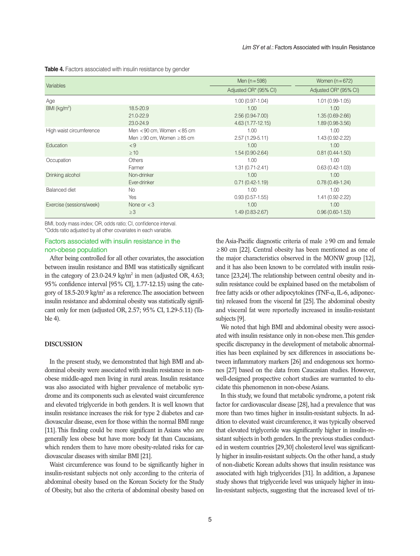| Variables                |                                      | Men $(n = 598)$       | Women $(n=672)$       |  |
|--------------------------|--------------------------------------|-----------------------|-----------------------|--|
|                          |                                      | Adjusted OR* (95% CI) | Adjusted OR* (95% CI) |  |
| Age                      |                                      | $1.00(0.97-1.04)$     | $1.01(0.99-1.05)$     |  |
| BMI (kg/m <sup>2</sup> ) | 18.5-20.9                            | 1.00                  | 1.00                  |  |
|                          | 21.0-22.9                            | $2.56(0.94 - 7.00)$   | $1.35(0.69 - 2.66)$   |  |
|                          | 23.0-24.9                            | $4.63(1.77-12.15)$    | $1.89(0.98-3.56)$     |  |
| High waist circumference | Men $<$ 90 cm, Women $<$ 85 cm       | 1.00                  | 1.00                  |  |
|                          | Men $\geq$ 90 cm, Women $\geq$ 85 cm | $2.57(1.29-5.11)$     | 1.43 (0.92-2.22)      |  |
| Education                | < 9                                  | 1.00                  | 1.00                  |  |
|                          | $\geq 10$                            | 1.54 (0.90-2.64)      | $0.81(0.44-1.50)$     |  |
| Occupation               | <b>Others</b>                        | 1.00                  | 1.00                  |  |
|                          | Farmer                               | $1.31(0.71 - 2.41)$   | $0.63(0.42 - 1.03)$   |  |
| Drinking alcohol         | Non-drinker                          | 1.00                  | 1.00                  |  |
|                          | Ever-drinker                         | $0.71(0.42 - 1.19)$   | $0.78(0.49-1.24)$     |  |
| Balanced diet            | No.                                  | 1.00                  | 1.00                  |  |
|                          | Yes                                  | $0.93(0.57-1.55)$     | 1.41 (0.92-2.22)      |  |
| Exercise (sessions/week) | None or $<$ 3                        | 1.00                  | 1.00                  |  |
|                          | $\geq$ 3                             | 1.49 (0.83-2.67)      | $0.96(0.60-1.53)$     |  |

**Table 4.** Factors associated with insulin resistance by gender

BMI, body mass index; OR, odds ratio; CI, confidence interval. \*Odds ratio adjusted by all other covariates in each variable.

# Factors associated with insulin resistance in the non-obese population

After being controlled for all other covariates, the association between insulin resistance and BMI was statistically significant in the category of  $23.0\n-24.9 \text{ kg/m}^2$  in men (adjusted OR, 4.63; 95% confidence interval [95% CI], 1.77-12.15) using the category of 18.5-20.9 kg/m<sup>2</sup> as a reference. The association between insulin resistance and abdominal obesity was statistically significant only for men (adjusted OR, 2.57; 95% CI, 1.29-5.11) (Table 4).

## **DISCUSSION**

In the present study, we demonstrated that high BMI and abdominal obesity were associated with insulin resistance in nonobese middle-aged men living in rural areas. Insulin resistance was also associated with higher prevalence of metabolic syndrome and its components such as elevated waist circumference and elevated triglyceride in both genders. It is well known that insulin resistance increases the risk for type 2 diabetes and cardiovascular disease, even for those within the normal BMI range [11]. This finding could be more significant in Asians who are generally less obese but have more body fat than Caucasians, which renders them to have more obesity-related risks for cardiovascular diseases with similar BMI [21].

Waist circumference was found to be significantly higher in insulin-resistant subjects not only according to the criteria of abdominal obesity based on the Korean Society for the Study of Obesity, but also the criteria of abdominal obesity based on the Asia-Pacific diagnostic criteria of male ≥90 cm and female ≥80 cm [22]. Central obesity has been mentioned as one of the major characteristics observed in the MONW group [12], and it has also been known to be correlated with insulin resistance [23,24]. The relationship between central obesity and insulin resistance could be explained based on the metabolism of free fatty acids or other adipocytokines (TNF-α, IL-6, adiponectin) released from the visceral fat [25]. The abdominal obesity and visceral fat were reportedly increased in insulin-resistant subjects [9].

We noted that high BMI and abdominal obesity were associated with insulin resistance only in non-obese men. This genderspecific discrepancy in the development of metabolic abnormalities has been explained by sex differences in associations between inflammatory markers [26] and endogenous sex hormones [27] based on the data from Caucasian studies. However, well-designed prospective cohort studies are warranted to elucidate this phenomenon in non-obese Asians.

In this study, we found that metabolic syndrome, a potent risk factor for cardiovascular disease [28], had a prevalence that was more than two times higher in insulin-resistant subjects. In addition to elevated waist circumference, it was typically observed that elevated triglyceride was significantly higher in insulin-resistant subjects in both genders. In the previous studies conducted in western countries [29,30] cholesterol level was significantly higher in insulin-resistant subjects. On the other hand, a study of non-diabetic Korean adults shows that insulin resistance was associated with high triglycerides [31]. In addition, a Japanese study shows that triglyceride level was uniquely higher in insulin-resistant subjects, suggesting that the increased level of tri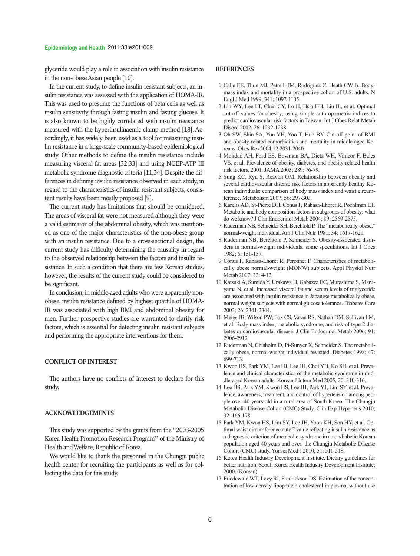glyceride would play a role in association with insulin resistance in the non-obese Asian people [10].

In the current study, to define insulin-resistant subjects, an insulin resistance was assessed with the application of HOMA-IR. This was used to presume the functions of beta cells as well as insulin sensitivity through fasting insulin and fasting glucose. It is also known to be highly correlated with insulin resistance measured with the hyperinsulinaemic clamp method [18]. Accordingly, it has widely been used as a tool for measuring insulin resistance in a large-scale community-based epidemiological study. Other methods to define the insulin resistance include measuring visceral fat areas [32,33] and using NCEP-ATP III metabolic syndrome diagnostic criteria [11,34]. Despite the differences in defining insulin resistance observed in each study, in regard to the characteristics of insulin resistant subjects, consistent results have been mostly proposed [9].

The current study has limitations that should be considered. The areas of visceral fat were not measured although they were a valid estimator of the abdominal obesity, which was mentioned as one of the major characteristics of the non-obese group with an insulin resistance. Due to a cross-sectional design, the current study has difficulty determining the causality in regard to the observed relationship between the factors and insulin resistance. In such a condition that there are few Korean studies, however, the results of the current study could be considered to be significant.

In conclusion, in middle-aged adults who were apparently nonobese, insulin resistance defined by highest quartile of HOMA-IR was associated with high BMI and abdominal obesity for men. Further prospective studies are warranted to clarify risk factors, which is essential for detecting insulin resistant subjects and performing the appropriate interventions for them.

#### **CONFLICT OF INTEREST**

The authors have no conflicts of interest to declare for this study.

### **ACKNOWLEDGEMENTS**

This study was supported by the grants from the "2003-2005 Korea Health Promotion Research Program" of the Ministry of Health and Welfare, Republic of Korea.

We would like to thank the personnel in the Chungju public health center for recruiting the participants as well as for collecting the data for this study.

### **REFERENCES**

- 1. Calle EE, Thun MJ, Petrelli JM, Rodriguez C, Heath CW Jr. Bodymass index and mortality in a prospective cohort of U.S. adults. N Engl J Med 1999; 341: 1097-1105.
- 2. Lin WY, Lee LT, Chen CY, Lo H, Hsia HH, Liu IL, et al. Optimal cut-off values for obesity: using simple anthropometric indices to predict cardiovascular risk factors in Taiwan. Int J Obes Relat Metab Disord 2002; 26: 1232-1238.
- 3. Oh SW, Shin SA, Yun YH, Yoo T, Huh BY. Cut-off point of BMI and obesity-related comorbidities and mortality in middle-aged Koreans. Obes Res 2004;12:2031-2040.
- 4. Mokdad AH, Ford ES, Bowman BA, Dietz WH, Vinicor F, Bales VS, et al. Prevalence of obesity, diabetes, and obesity-related health risk factors, 2001. JAMA 2003; 289: 76-79.
- 5. Sung KC, Ryu S, Reaven GM. Relationship between obesity and several cardiovascular disease risk factors in apparently healthy Korean individuals: comparison of body mass index and waist circumference. Metabolism 2007; 56: 297-303.
- 6. Karelis AD, St-Pierre DH, Conus F, Rabasa-Lhoret R, Poehlman ET. Metabolic and body composition factors in subgroups of obesity: what do we know? J Clin Endocrinol Metab 2004; 89: 2569-2575.
- 7. Ruderman NB, Schneider SH, Berchtold P. The "metabolically-obese," normal-weight individual.Am J Clin Nutr 1981; 34: 1617-1621.
- 8. Ruderman NB, Berchtold P, Schneider S. Obesity-associated disorders in normal-weight individuals: some speculations. Int J Obes 1982; 6: 151-157.
- 9. Conus F, Rabasa-Lhoret R, Peronnet F. Characteristics of metabolically obese normal-weight (MONW) subjects. Appl Physiol Nutr Metab 2007; 32: 4-12.
- 10. KatsukiA, Sumida Y, Urakawa H, Gabazza EC, Murashima S, Maruyama N, et al. Increased visceral fat and serum levels of triglyceride are associated with insulin resistance in Japanese metabolically obese, normal weight subjects with normal glucose tolerance. Diabetes Care 2003; 26: 2341-2344.
- 11. Meigs JB, Wilson PW, Fox CS, Vasan RS, Nathan DM, Sullivan LM, et al. Body mass index, metabolic syndrome, and risk of type 2 diabetes or cardiovascular disease. J Clin Endocrinol Metab 2006; 91: 2906-2912.
- 12. Ruderman N, Chisholm D, Pi-Sunyer X, Schneider S. The metabolically obese, normal-weight individual revisited. Diabetes 1998; 47: 699-713.
- 13. Kwon HS, Park YM, Lee HJ, Lee JH, Choi YH, Ko SH, et al. Prevalence and clinical characteristics of the metabolic syndrome in middle-aged Korean adults. Korean J Intern Med 2005; 20: 310-316.
- 14. Lee HS, Park YM, Kwon HS, Lee JH, Park YJ, Lim SY, et al. Prevalence, awareness, treatment, and control of hypertension among people over 40 years old in a rural area of South Korea: The Chungju Metabolic Disease Cohort (CMC) Study. Clin Exp Hypertens 2010;  $32 \cdot 166 - 178$
- 15. Park YM, Kwon HS, Lim SY, Lee JH, Yoon KH, Son HY, et al. Optimal waist circumference cutoff value reflecting insulin resistance as a diagnostic criterion of metabolic syndrome in a nondiabetic Korean population aged 40 years and over: the Chungju Metabolic Disease Cohort (CMC) study. Yonsei Med J 2010; 51: 511-518.
- 16. Korea Health Industry Development Institute. Dietary guidelines for better nutrition. Seoul: Korea Health Industry Development Institute; 2000. (Korean)
- 17. Friedewald WT, Levy RI, Fredrickson DS. Estimation of the concentration of low-density lipoprotein cholesterol in plasma, without use